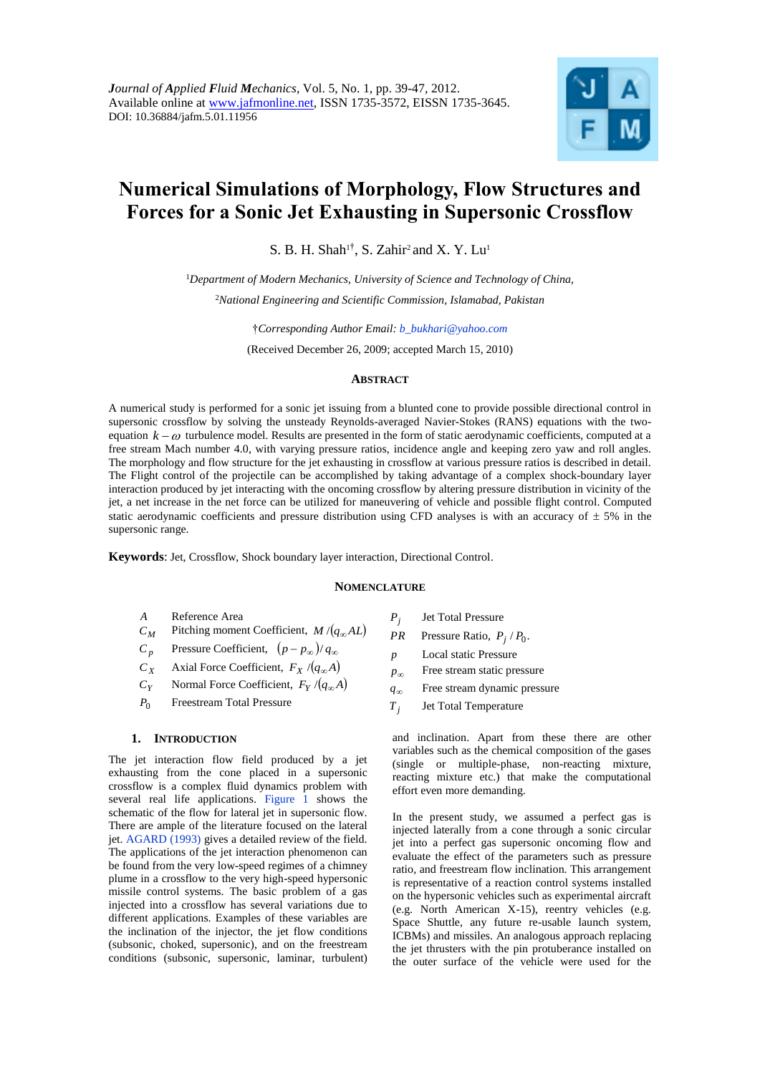

# **Numerical Simulations of Morphology, Flow Structures and Forces for a Sonic Jet Exhausting in Supersonic Crossflow**

S. B. H. Shah<sup>1†</sup>, S. Zahir<sup>2</sup> and X. Y. Lu<sup>1</sup>

<sup>1</sup>*Department of Modern Mechanics, University of Science and Technology of China,* <sup>2</sup>*National Engineering and Scientific Commission, Islamabad, Pakistan*

†*Corresponding Author Email: b\_bukhari@yahoo.com*

(Received December 26, 2009; accepted March 15, 2010)

# **ABSTRACT**

A numerical study is performed for a sonic jet issuing from a blunted cone to provide possible directional control in supersonic crossflow by solving the unsteady Reynolds-averaged Navier-Stokes (RANS) equations with the twoequation  $k - \omega$  turbulence model. Results are presented in the form of static aerodynamic coefficients, computed at a free stream Mach number 4.0, with varying pressure ratios, incidence angle and keeping zero yaw and roll angles. The morphology and flow structure for the jet exhausting in crossflow at various pressure ratios is described in detail. The Flight control of the projectile can be accomplished by taking advantage of a complex shock-boundary layer interaction produced by jet interacting with the oncoming crossflow by altering pressure distribution in vicinity of the jet, a net increase in the net force can be utilized for maneuvering of vehicle and possible flight control. Computed static aerodynamic coefficients and pressure distribution using CFD analyses is with an accuracy of  $\pm$  5% in the supersonic range.

**Keywords**: Jet, Crossflow, Shock boundary layer interaction, Directional Control.

# **NOMENCLATURE**

- *A* Reference Area
- *C<sup>M</sup>* Pitching moment Coefficient,  $M/(q_{\infty}AL)$
- *C<sup>p</sup>* Pressure Coefficient,  $(p - p_{\infty})/q_{\infty}$
- *C<sup>X</sup>* Axial Force Coefficient,  $F_X / (q_\infty A)$
- *CY* Normal Force Coefficient,  $F_Y/(q_\infty A)$
- $P_0$ Freestream Total Pressure

# **1. INTRODUCTION**

The jet interaction flow field produced by a jet exhausting from the cone placed in a supersonic crossflow is a complex fluid dynamics problem with several real life applications. Figure 1 shows the schematic of the flow for lateral jet in supersonic flow. There are ample of the literature focused on the lateral jet. AGARD (1993) gives a detailed review of the field. The applications of the jet interaction phenomenon can be found from the very low-speed regimes of a chimney plume in a crossflow to the very high-speed hypersonic missile control systems. The basic problem of a gas injected into a crossflow has several variations due to different applications. Examples of these variables are the inclination of the injector, the jet flow conditions (subsonic, choked, supersonic), and on the freestream conditions (subsonic, supersonic, laminar, turbulent)

- *Pj* Jet Total Pressure
- *PR* Pressure Ratio,  $P_j$  /  $P_0$ .
- *p* Local static Pressure
- $p_{\infty}$ Free stream static pressure
- $q_{\infty}$ Free stream dynamic pressure
- $T_i$ Jet Total Temperature

and inclination. Apart from these there are other variables such as the chemical composition of the gases (single or multiple-phase, non-reacting mixture, reacting mixture etc.) that make the computational effort even more demanding.

In the present study, we assumed a perfect gas is injected laterally from a cone through a sonic circular jet into a perfect gas supersonic oncoming flow and evaluate the effect of the parameters such as pressure ratio, and freestream flow inclination. This arrangement is representative of a reaction control systems installed on the hypersonic vehicles such as experimental aircraft (e.g. North American X-15), reentry vehicles (e.g. Space Shuttle, any future re-usable launch system, ICBMs) and missiles. An analogous approach replacing the jet thrusters with the pin protuberance installed on the outer surface of the vehicle were used for the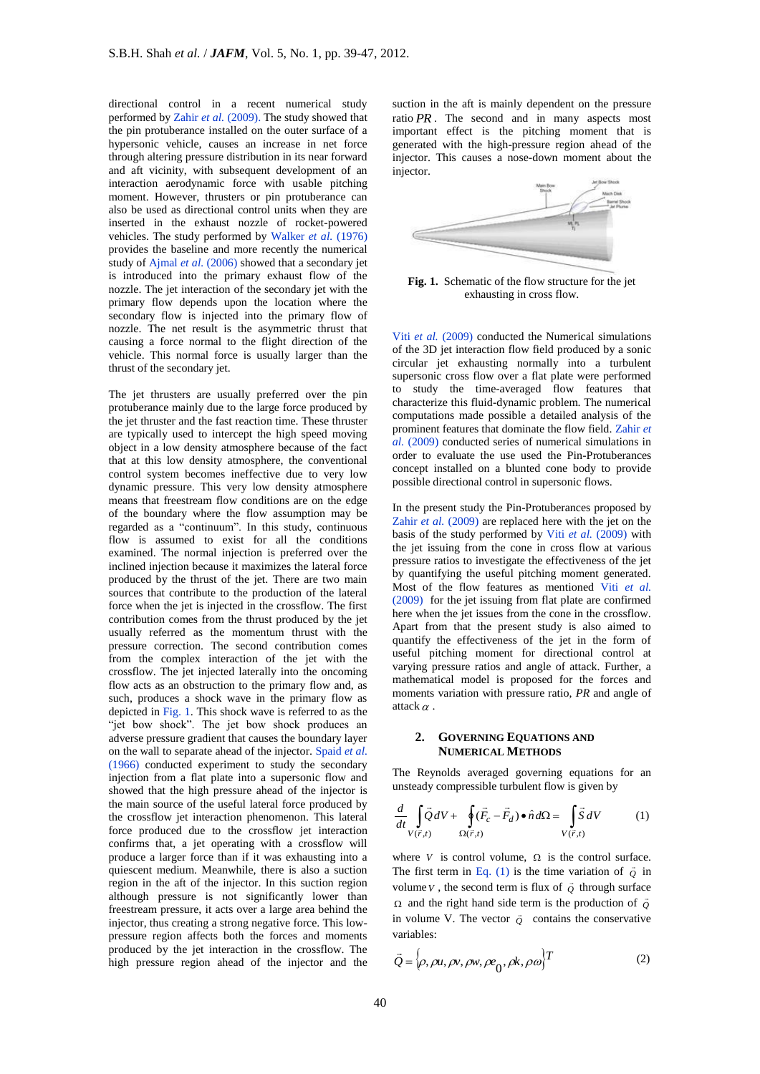directional control in a recent numerical study performed by Zahir *et al.* (2009). The study showed that the pin protuberance installed on the outer surface of a hypersonic vehicle, causes an increase in net force through altering pressure distribution in its near forward and aft vicinity, with subsequent development of an interaction aerodynamic force with usable pitching moment. However, thrusters or pin protuberance can also be used as directional control units when they are inserted in the exhaust nozzle of rocket-powered vehicles. The study performed by Walker *et al.* (1976) provides the baseline and more recently the numerical study of Ajmal *et al.* (2006) showed that a secondary jet is introduced into the primary exhaust flow of the nozzle. The jet interaction of the secondary jet with the primary flow depends upon the location where the secondary flow is injected into the primary flow of nozzle. The net result is the asymmetric thrust that causing a force normal to the flight direction of the vehicle. This normal force is usually larger than the thrust of the secondary jet.

The jet thrusters are usually preferred over the pin protuberance mainly due to the large force produced by the jet thruster and the fast reaction time. These thruster are typically used to intercept the high speed moving object in a low density atmosphere because of the fact that at this low density atmosphere, the conventional control system becomes ineffective due to very low dynamic pressure. This very low density atmosphere means that freestream flow conditions are on the edge of the boundary where the flow assumption may be regarded as a "continuum". In this study, continuous flow is assumed to exist for all the conditions examined. The normal injection is preferred over the inclined injection because it maximizes the lateral force produced by the thrust of the jet. There are two main sources that contribute to the production of the lateral force when the jet is injected in the crossflow. The first contribution comes from the thrust produced by the jet usually referred as the momentum thrust with the pressure correction. The second contribution comes from the complex interaction of the jet with the crossflow. The jet injected laterally into the oncoming flow acts as an obstruction to the primary flow and, as such, produces a shock wave in the primary flow as depicted in Fig. 1. This shock wave is referred to as the "jet bow shock". The jet bow shock produces an adverse pressure gradient that causes the boundary layer on the wall to separate ahead of the injector. Spaid *et al.*  (1966) conducted experiment to study the secondary injection from a flat plate into a supersonic flow and showed that the high pressure ahead of the injector is the main source of the useful lateral force produced by the crossflow jet interaction phenomenon. This lateral force produced due to the crossflow jet interaction confirms that, a jet operating with a crossflow will produce a larger force than if it was exhausting into a quiescent medium. Meanwhile, there is also a suction region in the aft of the injector. In this suction region although pressure is not significantly lower than freestream pressure, it acts over a large area behind the injector, thus creating a strong negative force. This lowpressure region affects both the forces and moments produced by the jet interaction in the crossflow. The high pressure region ahead of the injector and the

suction in the aft is mainly dependent on the pressure ratio *PR* . The second and in many aspects most important effect is the pitching moment that is generated with the high-pressure region ahead of the injector. This causes a nose-down moment about the injector.



**Fig. 1.** Schematic of the flow structure for the jet exhausting in cross flow.

Viti *et al.* (2009) conducted the Numerical simulations of the 3D jet interaction flow field produced by a sonic circular jet exhausting normally into a turbulent supersonic cross flow over a flat plate were performed to study the time-averaged flow features that characterize this fluid-dynamic problem. The numerical computations made possible a detailed analysis of the prominent features that dominate the flow field. Zahir *et al.* (2009) conducted series of numerical simulations in order to evaluate the use used the Pin-Protuberances concept installed on a blunted cone body to provide possible directional control in supersonic flows.

In the present study the Pin-Protuberances proposed by Zahir *et al.* (2009) are replaced here with the jet on the basis of the study performed by Viti *et al.* (2009) with the jet issuing from the cone in cross flow at various pressure ratios to investigate the effectiveness of the jet by quantifying the useful pitching moment generated. Most of the flow features as mentioned Viti *et al.* (2009) for the jet issuing from flat plate are confirmed here when the jet issues from the cone in the crossflow. Apart from that the present study is also aimed to quantify the effectiveness of the jet in the form of useful pitching moment for directional control at varying pressure ratios and angle of attack. Further, a mathematical model is proposed for the forces and moments variation with pressure ratio, *PR* and angle of attack  $\alpha$ .

## **2. GOVERNING EQUATIONS AND NUMERICAL METHODS**

The Reynolds averaged governing equations for an unsteady compressible turbulent flow is given by

$$
\frac{d}{dt} \int_{V(\vec{r},t)} \vec{Q} \, dV + \oint_{\Omega(\vec{r},t)} (\vec{F}_c - \vec{F}_d) \bullet \hat{n} \, d\Omega = \int_{V(\vec{r},t)} \vec{S} \, dV \tag{1}
$$

where *V* is control volume,  $\Omega$  is the control surface. The first term in Eq. (1) is the time variation of  $\vec{Q}$  in volume *V*, the second term is flux of  $\vec{\varrho}$  through surface  $\Omega$  and the right hand side term is the production of  $\overline{Q}$ in volume V. The vector  $\overrightarrow{Q}$  contains the conservative variables:

$$
\vec{Q} = \left\{\rho, \rho u, \rho v, \rho w, \rho e_0, \rho k, \rho \omega\right\}^T
$$
 (2)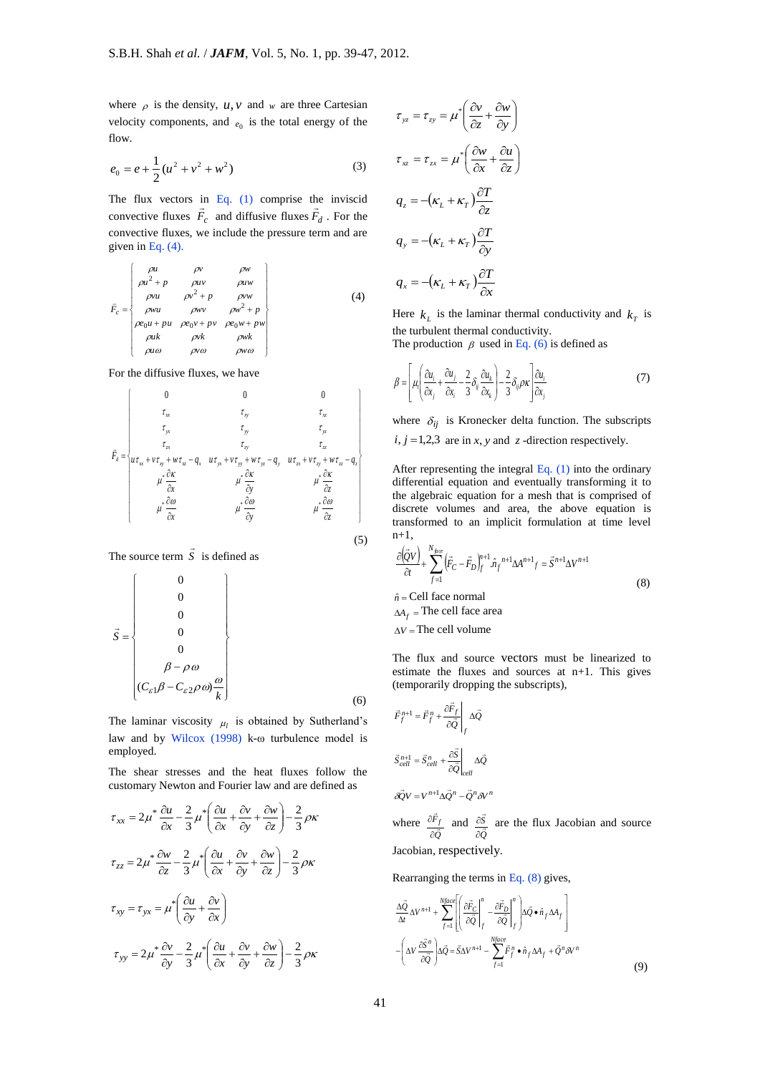where  $\rho$  is the density,  $u, v$  and w are three Cartesian velocity components, and  $e_0$  is the total energy of the flow.

$$
e_0 = e + \frac{1}{2} (u^2 + v^2 + w^2)
$$
 (3)

The flux vectors in Eq. (1) comprise the inviscid convective fluxes  $F_c$  and diffusive fluxes  $F_d$ . For the convective fluxes, we include the pressure term and are given in Eq. (4).

$$
\vec{F}_c = \begin{cases}\n\rho u & \rho v & \rho w \\
\rho u^2 + p & \rho u v & \rho u w \\
\rho v u & \rho v^2 + p & \rho v w \\
\rho w u & \rho w v & \rho w^2 + p \\
\rho w u & \rho w v & \rho w^2 + p \\
\rho u w & \rho v k & \rho w k \\
\rho u \omega & \rho v \omega & \rho w \omega\n\end{cases} (4)
$$

For the diffusive fluxes, we have

velocity components, and 
$$
e_0
$$
 is the total energy of the  
\n
$$
\vec{r}_{00}
$$
\n
$$
\vec{r}_{00}
$$
\n
$$
\vec{r}_{00}
$$
\n
$$
\vec{r}_{00}
$$
\n
$$
\vec{r}_{00}
$$
\n
$$
\vec{r}_{00}
$$
\n
$$
\vec{r}_{00}
$$
\n
$$
\vec{r}_{00}
$$
\n
$$
\vec{r}_{00}
$$
\n
$$
\vec{r}_{00}
$$
\n
$$
\vec{r}_{00}
$$
\n
$$
\vec{r}_{00}
$$
\n
$$
\vec{r}_{00}
$$
\n
$$
\vec{r}_{00}
$$
\n
$$
\vec{r}_{00}
$$
\n
$$
\vec{r}_{00}
$$
\n
$$
\vec{r}_{00}
$$
\n
$$
\vec{r}_{00}
$$
\n
$$
\vec{r}_{00}
$$
\n
$$
\vec{r}_{00}
$$
\n
$$
\vec{r}_{00}
$$
\n
$$
\vec{r}_{00}
$$
\n
$$
\vec{r}_{00}
$$
\n
$$
\vec{r}_{00}
$$
\n
$$
\vec{r}_{00}
$$
\n
$$
\vec{r}_{00}
$$
\n
$$
\vec{r}_{00}
$$
\n
$$
\vec{r}_{00}
$$
\n
$$
\vec{r}_{00}
$$
\n
$$
\vec{r}_{00}
$$
\n
$$
\vec{r}_{00}
$$
\n
$$
\vec{r}_{00}
$$
\n
$$
\vec{r}_{00}
$$
\n
$$
\vec{r}_{00}
$$
\n
$$
\vec{r}_{00}
$$
\n
$$
\vec{r}_{00}
$$
\n
$$
\vec{r}_{00}
$$
\n
$$
\vec{r}_{00}
$$
\n
$$
\vec{r}_{00}
$$
\n
$$
\vec{r}_{00}
$$
\n
$$
\vec{r}_{00}
$$
\n
$$
\vec{r}_{00}
$$
\n
$$
\vec{r}_{00}
$$
\n
$$
\vec{r}_{00}
$$
\n
$$
\vec{r}_{00}
$$
\n
$$
\vec{r}_{00}
$$
\n
$$
\vec{
$$

The source term  $\vec{S}$  is defined as

$$
\vec{S} = \begin{Bmatrix}\n0 \\
0 \\
0 \\
0 \\
0 \\
\beta - \rho \omega \\
(C_{\varepsilon 1}\beta - C_{\varepsilon 2}\rho \omega)\frac{\omega}{k}\n\end{Bmatrix}
$$
\n(6)

The laminar viscosity  $\mu_l$  is obtained by Sutherland's law and by Wilcox (1998) k-ω turbulence model is employed.

The shear stresses and the heat fluxes follow the customary Newton and Fourier law and are defined as

$$
\tau_{xx} = 2\mu^* \frac{\partial u}{\partial x} - \frac{2}{3} \mu^* \left( \frac{\partial u}{\partial x} + \frac{\partial v}{\partial y} + \frac{\partial w}{\partial z} \right) - \frac{2}{3} \rho \kappa
$$
  

$$
\tau_{zz} = 2\mu^* \frac{\partial w}{\partial z} - \frac{2}{3} \mu^* \left( \frac{\partial u}{\partial x} + \frac{\partial v}{\partial y} + \frac{\partial w}{\partial z} \right) - \frac{2}{3} \rho \kappa
$$
  

$$
\tau_{xy} = \tau_{yx} = \mu^* \left( \frac{\partial u}{\partial y} + \frac{\partial v}{\partial x} \right)
$$
  

$$
\tau_{yy} = 2\mu^* \frac{\partial v}{\partial y} - \frac{2}{3} \mu^* \left( \frac{\partial u}{\partial x} + \frac{\partial v}{\partial y} + \frac{\partial w}{\partial z} \right) - \frac{2}{3} \rho \kappa
$$

$$
\tau_{yz} = \tau_{zy} = \mu^* \left( \frac{\partial v}{\partial z} + \frac{\partial w}{\partial y} \right)
$$
  

$$
\tau_{xz} = \tau_{zx} = \mu^* \left( \frac{\partial w}{\partial x} + \frac{\partial u}{\partial z} \right)
$$
  

$$
q_z = -(\kappa_L + \kappa_T) \frac{\partial T}{\partial z}
$$
  

$$
q_y = -(\kappa_L + \kappa_T) \frac{\partial T}{\partial y}
$$
  

$$
q_x = -(\kappa_L + \kappa_T) \frac{\partial T}{\partial x}
$$

Here  $k_L$  is the laminar thermal conductivity and  $k_T$  is the turbulent thermal conductivity.

The production  $\beta$  used in Eq. (6) is defined as

$$
\beta = \left[ \mu_i \left( \frac{\partial u_i}{\partial x_j} + \frac{\partial u_j}{\partial x_i} - \frac{2}{3} \delta_{ij} \frac{\partial u_k}{\partial x_k} \right) - \frac{2}{3} \delta_{ij} \rho \kappa \left( \frac{\partial u_i}{\partial x_j} \right) \tag{7}
$$

where  $\delta_{ij}$  is Kronecker delta function. The subscripts  $i, j = 1,2,3$  are in *x*, *y* and *z* -direction respectively.

After representing the integral Eq. (1) into the ordinary differential equation and eventually transforming it to the algebraic equation for a mesh that is comprised of discrete volumes and area, the above equation is transformed to an implicit formulation at time level  $n+1$ .

$$
\frac{\partial(\bar{Q}V)}{\partial t} + \sum_{f=1}^{N_{\hat{\mu}c}} (\bar{F}_C - \bar{F}_D)_{f}^{n+1} \hat{n}_f^{n+1} \Delta A^{n+1} f = \bar{S}^{n+1} \Delta V^{n+1}
$$
\n
$$
\hat{n} = \text{Cell face normal}
$$
\n
$$
\Delta A_f = \text{The cell face area}
$$
\n(8)

 $\Delta V$  = The cell volume

(5)

The flux and source vectors must be linearized to estimate the fluxes and sources at n+1. This gives (temporarily dropping the subscripts),

$$
\vec{F}_{f}^{n+1} = \vec{F}_{f}^{n} + \frac{\partial \vec{F}_{f}}{\partial \vec{Q}} \Bigg|_{f} \Delta \vec{Q}
$$
\n
$$
\vec{S}_{cell}^{n+1} = \vec{S}_{cell}^{n} + \frac{\partial \vec{S}}{\partial \vec{Q}} \Bigg|_{cell} \Delta \vec{Q}
$$
\n
$$
\Delta \vec{Q} V = V^{n+1} \Delta \vec{Q}^{n} - \vec{Q}^{n} \delta V^{n}
$$

where *Q Ff*  $\overline{\phantom{a}}$  $\partial$  $\frac{\partial F_f}{\partial t}$  and *Q S*  $\overline{a}$  $\partial$  $\frac{\partial S}{\partial s}$  are the flux Jacobian and source Jacobian, respectively.

Rearranging the terms in Eq. (8) gives,

$$
\frac{\Delta \vec{Q}}{\Delta t} \Delta V^{n+1} + \sum_{f=1}^{Nface} \left[ \left( \frac{\partial \vec{F}_C}{\partial \vec{Q}} \Big|_f^n - \frac{\partial \vec{F}_D}{\partial \vec{Q}} \Big|_f^n \right) \Delta \vec{Q} \cdot \hat{n}_f \Delta A_f \right] - \left( \Delta V \frac{\partial \vec{S}^n}{\partial \vec{Q}} \right) \Delta \vec{Q} = \vec{S} \Delta V^{n+1} - \sum_{f=1}^{Nface} \vec{F}_f^n \cdot \hat{n}_f \Delta A_f + \vec{Q}^n \delta V^n
$$
\n(9)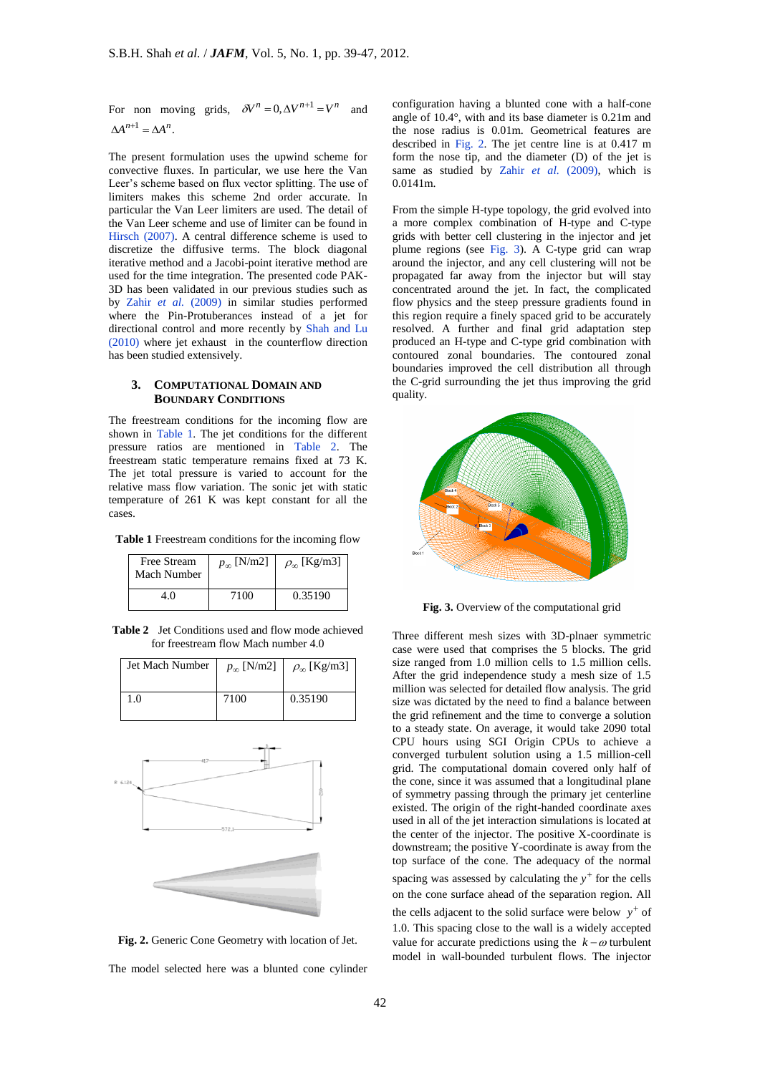For non moving grids,  $\delta V^n = 0, \Delta V^{n+1} = V^n$ and  $\Delta A^{n+1} = \Delta A^n$ .

The present formulation uses the upwind scheme for convective fluxes. In particular, we use here the Van Leer's scheme based on flux vector splitting. The use of limiters makes this scheme 2nd order accurate. In particular the Van Leer limiters are used. The detail of the Van Leer scheme and use of limiter can be found in Hirsch (2007). A central difference scheme is used to discretize the diffusive terms. The block diagonal iterative method and a Jacobi-point iterative method are used for the time integration. The presented code PAK-3D has been validated in our previous studies such as by Zahir *et al.* (2009) in similar studies performed where the Pin-Protuberances instead of a jet for directional control and more recently by Shah and Lu (2010) where jet exhaust in the counterflow direction has been studied extensively.

## **3. COMPUTATIONAL DOMAIN AND BOUNDARY CONDITIONS**

The freestream conditions for the incoming flow are shown in Table 1. The jet conditions for the different pressure ratios are mentioned in Table 2. The freestream static temperature remains fixed at 73 K. The jet total pressure is varied to account for the relative mass flow variation. The sonic jet with static temperature of 261 K was kept constant for all the cases.

**Table 1** Freestream conditions for the incoming flow

| Free Stream<br>Mach Number | $p_{\infty}$ [N/m2] | $\rho_{\infty}$ [Kg/m3] |
|----------------------------|---------------------|-------------------------|
| 4.0                        | 7100                | 0.35190                 |

**Table 2** Jet Conditions used and flow mode achieved for freestream flow Mach number 4.0

| Jet Mach Number | $p_{\infty}$ [N/m2] | $\rho_{\infty}$ [Kg/m3] |
|-----------------|---------------------|-------------------------|
|                 |                     |                         |
| 1.0             | 7100                | 0.35190                 |
|                 |                     |                         |





The model selected here was a blunted cone cylinder

configuration having a blunted cone with a half-cone angle of 10.4°, with and its base diameter is 0.21m and the nose radius is 0.01m. Geometrical features are described in Fig. 2. The jet centre line is at 0.417 m form the nose tip, and the diameter (D) of the jet is same as studied by Zahir et al. (2009), which is 0.0141m.

From the simple H-type topology, the grid evolved into a more complex combination of H-type and C-type grids with better cell clustering in the injector and jet plume regions (see Fig. 3). A C-type grid can wrap around the injector, and any cell clustering will not be propagated far away from the injector but will stay concentrated around the jet. In fact, the complicated flow physics and the steep pressure gradients found in this region require a finely spaced grid to be accurately resolved. A further and final grid adaptation step produced an H-type and C-type grid combination with contoured zonal boundaries. The contoured zonal boundaries improved the cell distribution all through the C-grid surrounding the jet thus improving the grid quality.



**Fig. 3.** Overview of the computational grid

Three different mesh sizes with 3D-plnaer symmetric case were used that comprises the 5 blocks. The grid size ranged from 1.0 million cells to 1.5 million cells. After the grid independence study a mesh size of 1.5 million was selected for detailed flow analysis. The grid size was dictated by the need to find a balance between the grid refinement and the time to converge a solution to a steady state. On average, it would take 2090 total CPU hours using SGI Origin CPUs to achieve a converged turbulent solution using a 1.5 million-cell grid. The computational domain covered only half of the cone, since it was assumed that a longitudinal plane of symmetry passing through the primary jet centerline existed. The origin of the right-handed coordinate axes used in all of the jet interaction simulations is located at the center of the injector. The positive X-coordinate is downstream; the positive Y-coordinate is away from the top surface of the cone. The adequacy of the normal spacing was assessed by calculating the  $y^+$  for the cells on the cone surface ahead of the separation region. All the cells adjacent to the solid surface were below  $y^+$  of 1.0. This spacing close to the wall is a widely accepted value for accurate predictions using the  $k - \omega$  turbulent model in wall-bounded turbulent flows. The injector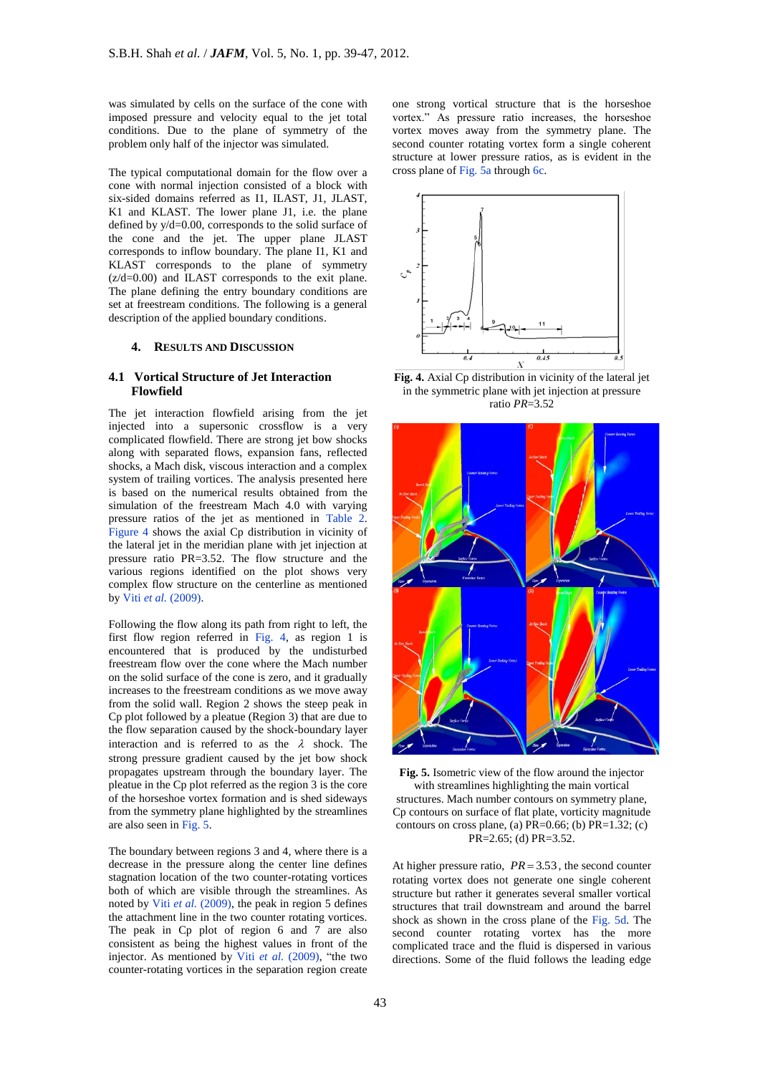was simulated by cells on the surface of the cone with imposed pressure and velocity equal to the jet total conditions. Due to the plane of symmetry of the problem only half of the injector was simulated.

The typical computational domain for the flow over a cone with normal injection consisted of a block with six-sided domains referred as I1, ILAST, J1, JLAST, K1 and KLAST. The lower plane J1, i.e. the plane defined by y/d=0.00, corresponds to the solid surface of the cone and the jet. The upper plane JLAST corresponds to inflow boundary. The plane I1, K1 and KLAST corresponds to the plane of symmetry  $(z/d=0.00)$  and ILAST corresponds to the exit plane. The plane defining the entry boundary conditions are set at freestream conditions. The following is a general description of the applied boundary conditions.

#### **4. RESULTS AND DISCUSSION**

# **4.1 Vortical Structure of Jet Interaction Flowfield**

The jet interaction flowfield arising from the jet injected into a supersonic crossflow is a very complicated flowfield. There are strong jet bow shocks along with separated flows, expansion fans, reflected shocks, a Mach disk, viscous interaction and a complex system of trailing vortices. The analysis presented here is based on the numerical results obtained from the simulation of the freestream Mach 4.0 with varying pressure ratios of the jet as mentioned in Table 2. Figure 4 shows the axial Cp distribution in vicinity of the lateral jet in the meridian plane with jet injection at pressure ratio PR=3.52. The flow structure and the various regions identified on the plot shows very complex flow structure on the centerline as mentioned by Viti *et al.* (2009).

Following the flow along its path from right to left, the first flow region referred in Fig. 4, as region 1 is encountered that is produced by the undisturbed freestream flow over the cone where the Mach number on the solid surface of the cone is zero, and it gradually increases to the freestream conditions as we move away from the solid wall. Region 2 shows the steep peak in Cp plot followed by a pleatue (Region 3) that are due to the flow separation caused by the shock-boundary layer interaction and is referred to as the  $\lambda$  shock. The strong pressure gradient caused by the jet bow shock propagates upstream through the boundary layer. The pleatue in the Cp plot referred as the region 3 is the core of the horseshoe vortex formation and is shed sideways from the symmetry plane highlighted by the streamlines are also seen in Fig. 5.

The boundary between regions 3 and 4, where there is a decrease in the pressure along the center line defines stagnation location of the two counter-rotating vortices both of which are visible through the streamlines. As noted by Viti *et al.* (2009), the peak in region 5 defines the attachment line in the two counter rotating vortices. The peak in Cp plot of region 6 and 7 are also consistent as being the highest values in front of the injector. As mentioned by Viti *et al.* (2009), "the two counter-rotating vortices in the separation region create

one strong vortical structure that is the horseshoe vortex." As pressure ratio increases, the horseshoe vortex moves away from the symmetry plane. The second counter rotating vortex form a single coherent structure at lower pressure ratios, as is evident in the cross plane of Fig. 5a through 6c.



**Fig. 4.** Axial Cp distribution in vicinity of the lateral jet in the symmetric plane with jet injection at pressure ratio *PR*=3.52



**Fig. 5.** Isometric view of the flow around the injector with streamlines highlighting the main vortical structures. Mach number contours on symmetry plane, Cp contours on surface of flat plate, vorticity magnitude contours on cross plane, (a)  $PR=0.66$ ; (b)  $PR=1.32$ ; (c) PR=2.65; (d) PR=3.52.

At higher pressure ratio,  $PR = 3.53$ , the second counter rotating vortex does not generate one single coherent structure but rather it generates several smaller vortical structures that trail downstream and around the barrel shock as shown in the cross plane of the Fig. 5d. The second counter rotating vortex has the more complicated trace and the fluid is dispersed in various directions. Some of the fluid follows the leading edge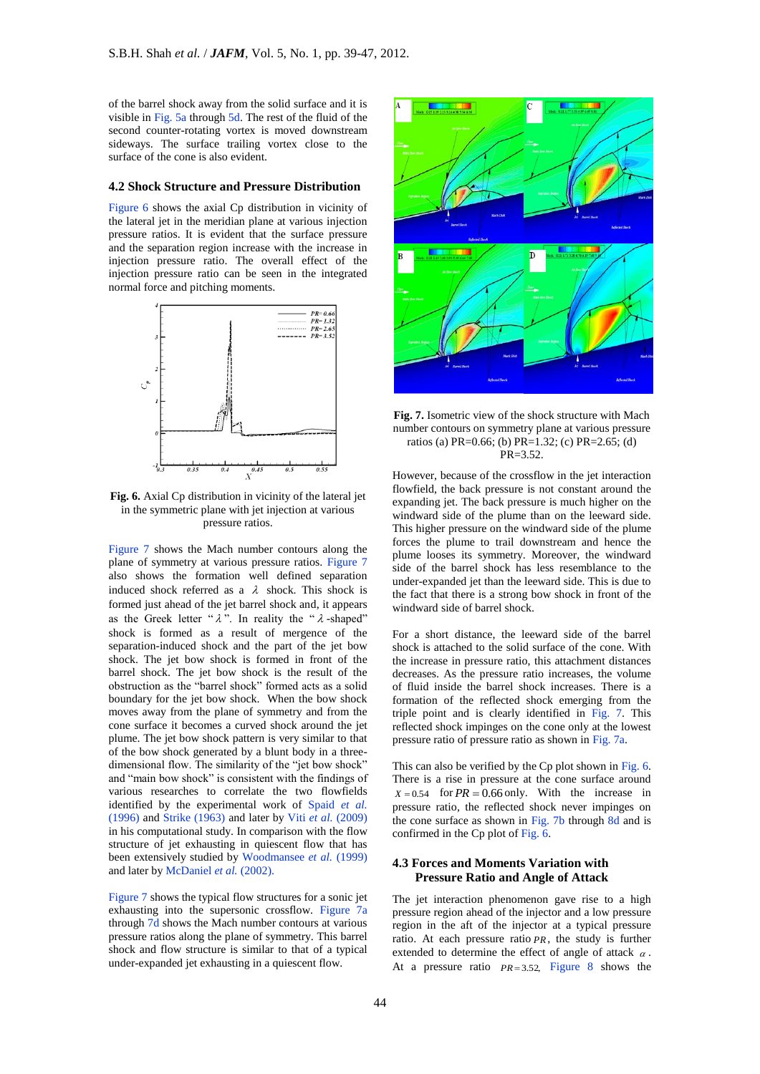of the barrel shock away from the solid surface and it is visible in Fig. 5a through 5d. The rest of the fluid of the second counter-rotating vortex is moved downstream sideways. The surface trailing vortex close to the surface of the cone is also evident.

#### **4.2 Shock Structure and Pressure Distribution**

Figure 6 shows the axial Cp distribution in vicinity of the lateral jet in the meridian plane at various injection pressure ratios. It is evident that the surface pressure and the separation region increase with the increase in injection pressure ratio. The overall effect of the injection pressure ratio can be seen in the integrated normal force and pitching moments.



**Fig. 6.** Axial Cp distribution in vicinity of the lateral jet in the symmetric plane with jet injection at various pressure ratios.

Figure 7 shows the Mach number contours along the plane of symmetry at various pressure ratios. Figure 7 also shows the formation well defined separation induced shock referred as a  $\lambda$  shock. This shock is formed just ahead of the jet barrel shock and, it appears as the Greek letter " $\lambda$ ". In reality the " $\lambda$ -shaped" shock is formed as a result of mergence of the separation-induced shock and the part of the jet bow shock. The jet bow shock is formed in front of the barrel shock. The jet bow shock is the result of the obstruction as the "barrel shock" formed acts as a solid boundary for the jet bow shock. When the bow shock moves away from the plane of symmetry and from the cone surface it becomes a curved shock around the jet plume. The jet bow shock pattern is very similar to that of the bow shock generated by a blunt body in a threedimensional flow. The similarity of the "jet bow shock" and "main bow shock" is consistent with the findings of various researches to correlate the two flowfields identified by the experimental work of Spaid *et al.*  (1996) and Strike (1963) and later by Viti *et al.* (2009) in his computational study. In comparison with the flow structure of jet exhausting in quiescent flow that has been extensively studied by Woodmansee *et al.* (1999) and later by McDaniel *et al.* (2002).

Figure 7 shows the typical flow structures for a sonic jet exhausting into the supersonic crossflow. Figure 7a through 7d shows the Mach number contours at various pressure ratios along the plane of symmetry. This barrel shock and flow structure is similar to that of a typical under-expanded jet exhausting in a quiescent flow.



**Fig. 7.** Isometric view of the shock structure with Mach number contours on symmetry plane at various pressure ratios (a) PR=0.66; (b) PR=1.32; (c) PR=2.65; (d) PR=3.52.

However, because of the crossflow in the jet interaction flowfield, the back pressure is not constant around the expanding jet. The back pressure is much higher on the windward side of the plume than on the leeward side. This higher pressure on the windward side of the plume forces the plume to trail downstream and hence the plume looses its symmetry. Moreover, the windward side of the barrel shock has less resemblance to the under-expanded jet than the leeward side. This is due to the fact that there is a strong bow shock in front of the windward side of barrel shock.

For a short distance, the leeward side of the barrel shock is attached to the solid surface of the cone. With the increase in pressure ratio, this attachment distances decreases. As the pressure ratio increases, the volume of fluid inside the barrel shock increases. There is a formation of the reflected shock emerging from the triple point and is clearly identified in Fig. 7. This reflected shock impinges on the cone only at the lowest pressure ratio of pressure ratio as shown in Fig. 7a.

This can also be verified by the Cp plot shown in Fig. 6. There is a rise in pressure at the cone surface around  $X = 0.54$  for  $PR = 0.66$  only. With the increase in pressure ratio, the reflected shock never impinges on the cone surface as shown in Fig. 7b through 8d and is confirmed in the Cp plot of Fig. 6.

# **4.3 Forces and Moments Variation with Pressure Ratio and Angle of Attack**

The jet interaction phenomenon gave rise to a high pressure region ahead of the injector and a low pressure region in the aft of the injector at a typical pressure ratio. At each pressure ratio *PR* , the study is further extended to determine the effect of angle of attack  $\alpha$ . At a pressure ratio  $PR = 3.52$ , Figure 8 shows the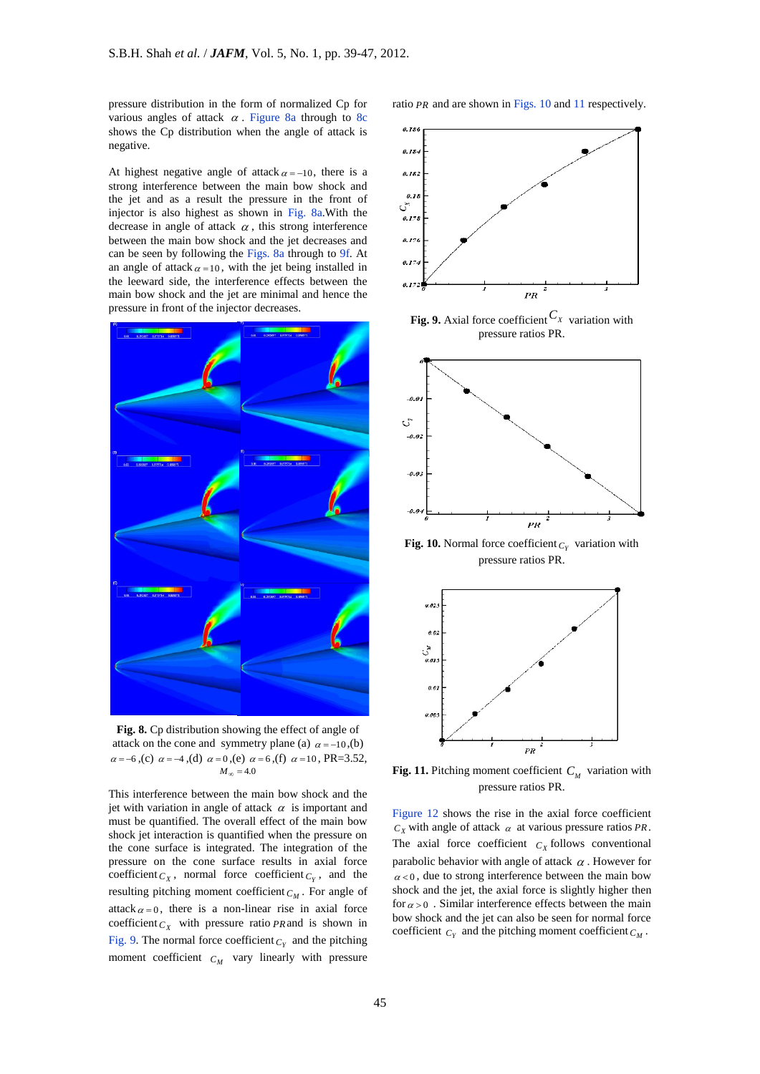pressure distribution in the form of normalized Cp for various angles of attack  $\alpha$ . Figure 8a through to 8c shows the Cp distribution when the angle of attack is negative.

At highest negative angle of attack  $\alpha = -10$ , there is a strong interference between the main bow shock and the jet and as a result the pressure in the front of injector is also highest as shown in Fig. 8a.With the decrease in angle of attack  $\alpha$ , this strong interference between the main bow shock and the jet decreases and can be seen by following the Figs. 8a through to 9f. At an angle of attack  $\alpha = 10$ , with the jet being installed in the leeward side, the interference effects between the main bow shock and the jet are minimal and hence the pressure in front of the injector decreases.



**Fig. 8.** Cp distribution showing the effect of angle of attack on the cone and symmetry plane (a)  $\alpha = -10$ , (b)  $\alpha = -6$ ,(c)  $\alpha = -4$ ,(d)  $\alpha = 0$ ,(e)  $\alpha = 6$ ,(f)  $\alpha = 10$ , PR=3.52,  $M_{\infty}$  = 4.0

This interference between the main bow shock and the jet with variation in angle of attack  $\alpha$  is important and must be quantified. The overall effect of the main bow shock jet interaction is quantified when the pressure on the cone surface is integrated. The integration of the pressure on the cone surface results in axial force coefficient  $C_X$ , normal force coefficient  $C_Y$ , and the resulting pitching moment coefficient *C<sup>M</sup>* . For angle of attack  $\alpha = 0$ , there is a non-linear rise in axial force coefficient  $C_X$  with pressure ratio *PR* and is shown in Fig. 9. The normal force coefficient  $C_Y$  and the pitching moment coefficient  $C_M$  vary linearly with pressure ratio PR and are shown in Figs. 10 and 11 respectively.



**Fig. 9.** Axial force coefficient  $C_X$  variation with pressure ratios PR.



**Fig. 10.** Normal force coefficient  $C_Y$  variation with pressure ratios PR.



**Fig. 11.** Pitching moment coefficient  $C_M$  variation with pressure ratios PR.

Figure 12 shows the rise in the axial force coefficient  $C_X$  with angle of attack  $\alpha$  at various pressure ratios *PR*. The axial force coefficient  $C_X$  follows conventional parabolic behavior with angle of attack  $\alpha$ . However for  $\alpha$  < 0, due to strong interference between the main bow shock and the jet, the axial force is slightly higher then for  $\alpha > 0$ . Similar interference effects between the main bow shock and the jet can also be seen for normal force coefficient  $C_Y$  and the pitching moment coefficient  $C_M$ .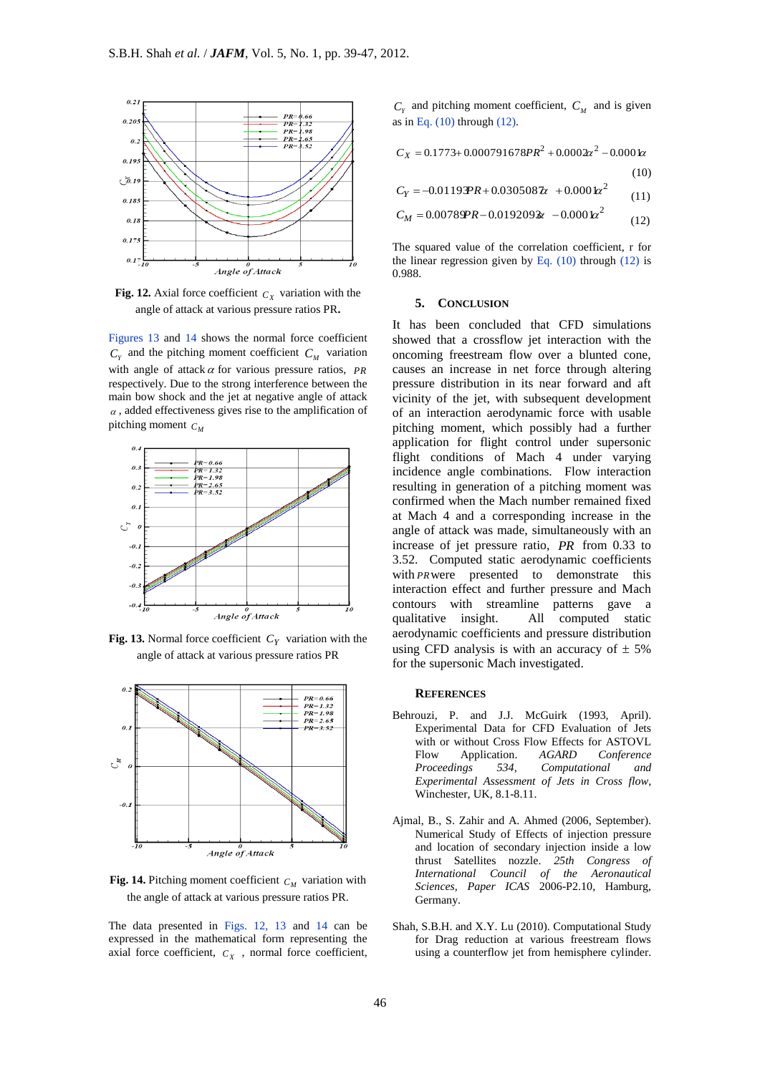

**Fig. 12.** Axial force coefficient  $c<sub>x</sub>$  variation with the angle of attack at various pressure ratios PR**.**

Figures 13 and 14 shows the normal force coefficient  $C_Y$  and the pitching moment coefficient  $C_M$  variation with angle of attack  $\alpha$  for various pressure ratios,  $PR$ respectively. Due to the strong interference between the main bow shock and the jet at negative angle of attack  $\alpha$ , added effectiveness gives rise to the amplification of pitching moment  $C_M$ 



**Fig. 13.** Normal force coefficient  $C_Y$  variation with the angle of attack at various pressure ratios PR



**Fig. 14.** Pitching moment coefficient  $C_M$  variation with the angle of attack at various pressure ratios PR.

The data presented in Figs. 12, 13 and 14 can be expressed in the mathematical form representing the axial force coefficient,  $C_X$ , normal force coefficient,

 $C_Y$  and pitching moment coefficient,  $C_M$  and is given as in Eq.  $(10)$  through  $(12)$ .

$$
C_X = 0.1773 + 0.000791678PR^2 + 0.0002x^2 - 0.0001x
$$
  
(10)  

$$
C_Y = -0.01193PR + 0.0305087x + 0.0001x^2
$$

 (11)  $L = 0.00789$ *PR*  $= 0.0192093$   $= 0.0001$  $\approx$ <sup>2</sup>

$$
M = 0.0076 \times K - 0.019209 \times K - 0.000 \times K \tag{12}
$$

The squared value of the correlation coefficient, r for the linear regression given by Eq.  $(10)$  through  $(12)$  is 0.988.

#### **5. CONCLUSION**

It has been concluded that CFD simulations showed that a crossflow jet interaction with the oncoming freestream flow over a blunted cone, causes an increase in net force through altering pressure distribution in its near forward and aft vicinity of the jet, with subsequent development of an interaction aerodynamic force with usable pitching moment, which possibly had a further application for flight control under supersonic flight conditions of Mach 4 under varying incidence angle combinations. Flow interaction resulting in generation of a pitching moment was confirmed when the Mach number remained fixed at Mach 4 and a corresponding increase in the angle of attack was made, simultaneously with an increase of jet pressure ratio, *PR* from 0.33 to 3.52. Computed static aerodynamic coefficients with *PR* were presented to demonstrate this interaction effect and further pressure and Mach contours with streamline patterns gave a qualitative insight. All computed static aerodynamic coefficients and pressure distribution using CFD analysis is with an accuracy of  $\pm$  5% for the supersonic Mach investigated.

#### **REFERENCES**

- Behrouzi, P. and J.J. McGuirk (1993, April). Experimental Data for CFD Evaluation of Jets with or without Cross Flow Effects for ASTOVL Flow Application. *AGARD Conference Proceedings 534, Computational and Experimental Assessment of Jets in Cross flow*, Winchester, UK, 8.1-8.11.
- Ajmal, B., S. Zahir and A. Ahmed (2006, September). Numerical Study of Effects of injection pressure and location of secondary injection inside a low thrust Satellites nozzle. *25th Congress of International Council of the Aeronautical Sciences, Paper ICAS* 2006-P2.10, Hamburg, Germany.
- Shah, S.B.H. and X.Y. Lu (2010). Computational Study for Drag reduction at various freestream flows using a counterflow jet from hemisphere cylinder.